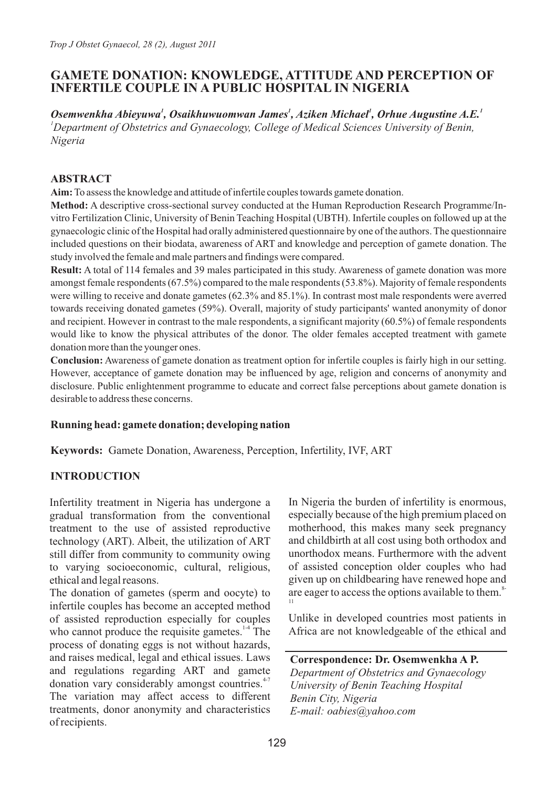# **GAMETE DONATION: KNOWLEDGE, ATTITUDE AND PERCEPTION OF INFERTILE COUPLE IN A PUBLIC HOSPITAL IN NIGERIA**

*<sup>1</sup> <sup>1</sup> <sup>1</sup> <sup>1</sup> Osemwenkha Abieyuwa , Osaikhuwuomwan James , Aziken Michael , Orhue Augustine A.E. <sup>1</sup>Department of Obstetrics and Gynaecology, College of Medical Sciences University of Benin, Nigeria*

### **ABSTRACT**

**Aim:**To assess the knowledge and attitude of infertile couples towards gamete donation.

**Method:** A descriptive cross-sectional survey conducted at the Human Reproduction Research Programme/Invitro Fertilization Clinic, University of Benin Teaching Hospital (UBTH). Infertile couples on followed up at the gynaecologic clinic of the Hospital had orally administered questionnaire by one of the authors. The questionnaire included questions on their biodata, awareness of ART and knowledge and perception of gamete donation. The study involved the female and male partners and findings were compared.

**Result:** A total of 114 females and 39 males participated in this study. Awareness of gamete donation was more amongst female respondents (67.5%) compared to the male respondents (53.8%). Majority of female respondents were willing to receive and donate gametes (62.3% and 85.1%). In contrast most male respondents were averred towards receiving donated gametes (59%). Overall, majority of study participants' wanted anonymity of donor and recipient. However in contrast to the male respondents, a significant majority (60.5%) of female respondents would like to know the physical attributes of the donor. The older females accepted treatment with gamete donation more than the younger ones.

**Conclusion:** Awareness of gamete donation as treatment option for infertile couples is fairly high in our setting. However, acceptance of gamete donation may be influenced by age, religion and concerns of anonymity and disclosure. Public enlightenment programme to educate and correct false perceptions about gamete donation is desirable to address these concerns.

### **Running head: gamete donation; developing nation**

**Keywords:** Gamete Donation, Awareness, Perception, Infertility, IVF, ART

### **INTRODUCTION**

Infertility treatment in Nigeria has undergone a gradual transformation from the conventional treatment to the use of assisted reproductive technology (ART). Albeit, the utilization of ART still differ from community to community owing to varying socioeconomic, cultural, religious, ethical and legal reasons.

The donation of gametes (sperm and oocyte) to infertile couples has become an accepted method of assisted reproduction especially for couples who cannot produce the requisite gametes. $14$  The process of donating eggs is not without hazards, and raises medical, legal and ethical issues. Laws and regulations regarding ART and gamete donation vary considerably amongst countries. $47$ The variation may affect access to different treatments, donor anonymity and characteristics of recipients.

In Nigeria the burden of infertility is enormous, especially because of the high premium placed on motherhood, this makes many seek pregnancy and childbirth at all cost using both orthodox and unorthodox means. Furthermore with the advent of assisted conception older couples who had given up on childbearing have renewed hope and are eager to access the options available to them.<sup>8</sup> 11

Unlike in developed countries most patients in Africa are not knowledgeable of the ethical and

**Correspondence: Dr. Osemwenkha A P.**

*Department of Obstetrics and Gynaecology University of Benin Teaching Hospital Benin City, Nigeria E-mail: oabies@yahoo.com*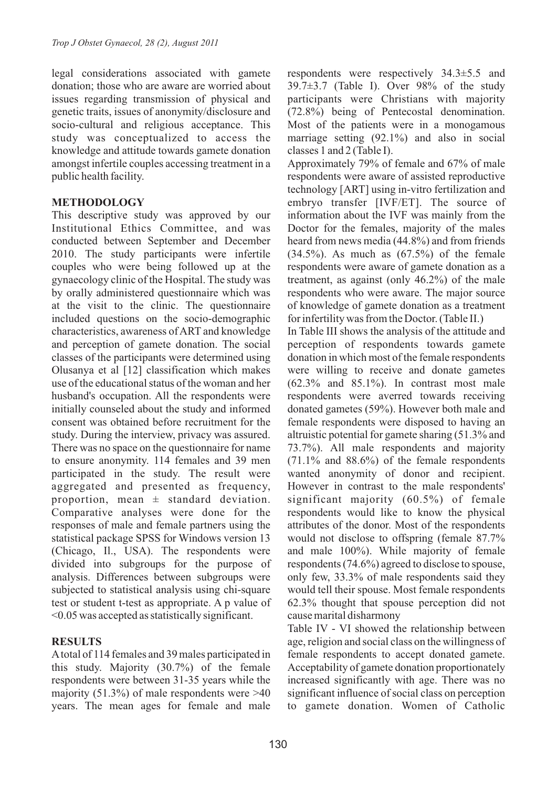legal considerations associated with gamete donation; those who are aware are worried about issues regarding transmission of physical and genetic traits, issues of anonymity/disclosure and socio-cultural and religious acceptance. This study was conceptualized to access the knowledge and attitude towards gamete donation amongst infertile couples accessing treatment in a public health facility.

### **METHODOLOGY**

This descriptive study was approved by our Institutional Ethics Committee, and was conducted between September and December 2010. The study participants were infertile couples who were being followed up at the gynaecology clinic of the Hospital. The study was by orally administered questionnaire which was at the visit to the clinic. The questionnaire included questions on the socio-demographic characteristics, awareness of ART and knowledge and perception of gamete donation. The social classes of the participants were determined using Olusanya et al [12] classification which makes use of the educational status of the woman and her husband's occupation. All the respondents were initially counseled about the study and informed consent was obtained before recruitment for the study. During the interview, privacy was assured. There was no space on the questionnaire for name to ensure anonymity. 114 females and 39 men participated in the study. The result were aggregated and presented as frequency, proportion, mean  $\pm$  standard deviation. Comparative analyses were done for the responses of male and female partners using the statistical package SPSS for Windows version 13 (Chicago, Il., USA). The respondents were divided into subgroups for the purpose of analysis. Differences between subgroups were subjected to statistical analysis using chi-square test or student t-test as appropriate. A p value of <0.05 was accepted as statistically significant.

## **RESULTS**

Atotal of 114 females and 39 males participated in this study. Majority (30.7%) of the female respondents were between 31-35 years while the majority (51.3%) of male respondents were  $>40$ years. The mean ages for female and male

respondents were respectively 34.3±5.5 and  $39.7\pm3.7$  (Table I). Over  $98\%$  of the study participants were Christians with majority (72.8%) being of Pentecostal denomination. Most of the patients were in a monogamous marriage setting (92.1%) and also in social classes 1 and 2 (Table I).

Approximately 79% of female and 67% of male respondents were aware of assisted reproductive technology [ART] using in-vitro fertilization and embryo transfer [IVF/ET]. The source of information about the IVF was mainly from the Doctor for the females, majority of the males heard from news media (44.8%) and from friends  $(34.5\%)$ . As much as  $(67.5\%)$  of the female respondents were aware of gamete donation as a treatment, as against (only 46.2%) of the male respondents who were aware. The major source of knowledge of gamete donation as a treatment for infertility was from the Doctor. (Table II.)

In Table III shows the analysis of the attitude and perception of respondents towards gamete donation in which most of the female respondents were willing to receive and donate gametes  $(62.3\%$  and  $85.1\%)$ . In contrast most male respondents were averred towards receiving donated gametes (59%). However both male and female respondents were disposed to having an altruistic potential for gamete sharing (51.3% and 73.7%). All male respondents and majority  $(71.1\%$  and  $88.6\%)$  of the female respondents wanted anonymity of donor and recipient. However in contrast to the male respondents' significant majority (60.5%) of female respondents would like to know the physical attributes of the donor. Most of the respondents would not disclose to offspring (female 87.7% and male 100%). While majority of female respondents (74.6%) agreed to disclose to spouse, only few, 33.3% of male respondents said they would tell their spouse. Most female respondents 62.3% thought that spouse perception did not cause marital disharmony

Table IV - VI showed the relationship between age, religion and social class on the willingness of female respondents to accept donated gamete. Acceptability of gamete donation proportionately increased significantly with age. There was no significant influence of social class on perception to gamete donation. Women of Catholic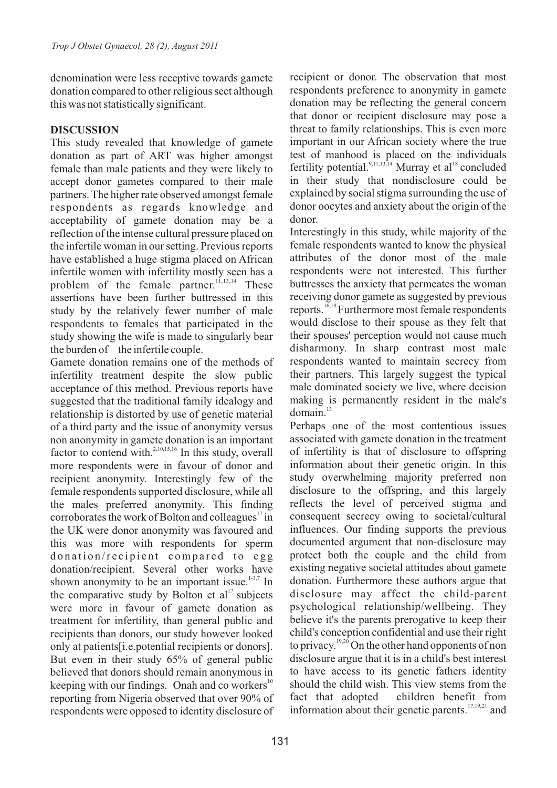denomination were less receptive towards gamete donation compared to other religious sect although this was not statistically significant.

#### **DISCUSSION**

This study revealed that knowledge of gamete donation as part of ART was higher amongst female than male patients and they were likely to accept donor gametes compared to their male partners. The higher rate observed amongst female respondents as regards knowledge and acceptability of gamete donation may be a reflection of the intense cultural pressure placed on the infertile woman in our setting. Previous reports have established a huge stigma placed on African infertile women with infertility mostly seen has a problem of the female partner.<sup>11,13,14</sup> These assertions have been further buttressed in this study by the relatively fewer number of male respondents to females that participated in the study showing the wife is made to singularly bear the burden of the infertile couple.

Gamete donation remains one of the methods of infertility treatment despite the slow public acceptance of this method. Previous reports have suggested that the traditional family idealogy and relationship is distorted by use of genetic material of a third party and the issue of anonymity versus non anonymity in gamete donation is an important factor to contend with. $^{2,10,15,16}$  In this study, overall more respondents were in favour of donor and recipient anonymity. Interestingly few of the female respondents supported disclosure, while all the males preferred anonymity. This finding corroborates the work of Bolton and colleagues  $\frac{17}{10}$  in the UK were donor anonymity was favoured and this was more with respondents for sperm donation/recipient compared to egg donation/recipient. Several other works have shown anonymity to be an important issue.<sup> $1-3,7$ </sup> In the comparative study by Bolton et  $al<sup>17</sup>$  subjects were more in favour of gamete donation as treatment for infertility, than general public and recipients than donors, our study however looked only at patients[i.e.potential recipients or donors]. But even in their study 65% of general public believed that donors should remain anonymous in keeping with our findings. Onah and co workers $\mathbf{S}^0$ reporting from Nigeria observed that over 90% of respondents were opposed to identity disclosure of

recipient or donor. The observation that most respondents preference to anonymity in gamete donation may be reflecting the general concern that donor or recipient disclosure may pose a threat to family relationships. This is even more important in our African society where the true test of manhood is placed on the individuals fertility potential.<sup>9,11,13,14</sup> Murray et al<sup>18</sup> concluded in their study that nondisclosure could be explained by social stigma surrounding the use of donor oocytes and anxiety about the origin of the donor.

Interestingly in this study, while majority of the female respondents wanted to know the physical attributes of the donor most of the male respondents were not interested. This further buttresses the anxiety that permeates the woman receiving donor gamete as suggested by previous 16,18 reports. Furthermore most female respondents would disclose to their spouse as they felt that their spouses' perception would not cause much disharmony. In sharp contrast most male respondents wanted to maintain secrecy from their partners. This largely suggest the typical male dominated society we live, where decision making is permanently resident in the male's  $domain.<sup>13</sup>$ 

Perhaps one of the most contentious issues associated with gamete donation in the treatment of infertility is that of disclosure to offspring information about their genetic origin. In this study overwhelming majority preferred non disclosure to the offspring, and this largely reflects the level of perceived stigma and consequent secrecy owing to societal/cultural influences. Our finding supports the previous documented argument that non-disclosure may protect both the couple and the child from existing negative societal attitudes about gamete donation. Furthermore these authors argue that disclosure may affect the child-parent psychological relationship/wellbeing. They believe it's the parents prerogative to keep their child's conception confidential and use their right to privacy.  $19,20$  On the other hand opponents of non disclosure argue that it is in a child's best interest to have access to its genetic fathers identity should the child wish. This view stems from the fact that adopted children benefit from information about their genetic parents.  $\frac{17,19,21}{2}$  and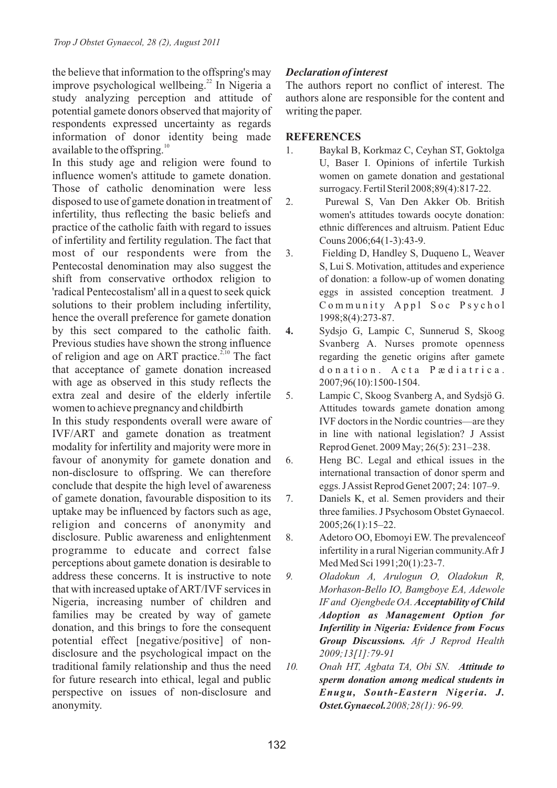the believe that information to the offspring's may improve psychological wellbeing. $^{22}$  In Nigeria a study analyzing perception and attitude of potential gamete donors observed that majority of respondents expressed uncertainty as regards information of donor identity being made available to the offspring. $10<sup>10</sup>$ 

In this study age and religion were found to influence women's attitude to gamete donation. Those of catholic denomination were less disposed to use of gamete donation in treatment of infertility, thus reflecting the basic beliefs and practice of the catholic faith with regard to issues of infertility and fertility regulation. The fact that most of our respondents were from the Pentecostal denomination may also suggest the shift from conservative orthodox religion to 'radical Pentecostalism' all in a quest to seek quick solutions to their problem including infertility, hence the overall preference for gamete donation by this sect compared to the catholic faith. Previous studies have shown the strong influence of religion and age on ART practice.<sup> $2,10$ </sup> The fact that acceptance of gamete donation increased with age as observed in this study reflects the extra zeal and desire of the elderly infertile women to achieve pregnancy and childbirth

In this study respondents overall were aware of IVF/ART and gamete donation as treatment modality for infertility and majority were more in favour of anonymity for gamete donation and non-disclosure to offspring. We can therefore conclude that despite the high level of awareness of gamete donation, favourable disposition to its uptake may be influenced by factors such as age, religion and concerns of anonymity and disclosure. Public awareness and enlightenment programme to educate and correct false perceptions about gamete donation is desirable to address these concerns. It is instructive to note that with increased uptake of ART/IVF services in Nigeria, increasing number of children and families may be created by way of gamete donation, and this brings to fore the consequent potential effect [negative/positive] of nondisclosure and the psychological impact on the traditional family relationship and thus the need for future research into ethical, legal and public perspective on issues of non-disclosure and anonymity.

## *Declaration of interest*

The authors report no conflict of interest. The authors alone are responsible for the content and writing the paper.

### **REFERENCES**

- 1. Baykal B, Korkmaz C, Ceyhan ST, Goktolga U, Baser I. Opinions of infertile Turkish women on gamete donation and gestational surrogacy. Fertil Steril 2008;89(4):817-22.
- 2. Purewal S, Van Den Akker Ob. British women's attitudes towards oocyte donation: ethnic differences and altruism. Patient Educ Couns 2006;64(1-3):43-9.
- 3. Fielding D, Handley S, Duqueno L, Weaver S, Lui S. Motivation, attitudes and experience of donation: a follow-up of women donating eggs in assisted conception treatment. J Community Appl Soc Psychol 1998;8(4):273-87.
- **4.** Sydsjo G, Lampic C, Sunnerud S, Skoog Svanberg A. Nurses promote openness regarding the genetic origins after gamete donation. Acta Pædiatrica. 2007;96(10):1500-1504.
- 5. Lampic C, Skoog Svanberg A, and Sydsjö G. Attitudes towards gamete donation among IVF doctors in the Nordic countries—are they in line with national legislation? J Assist Reprod Genet. 2009 May; 26(5): 231–238.
- 6. Heng BC. Legal and ethical issues in the international transaction of donor sperm and eggs. J Assist Reprod Genet 2007; 24: 107–9.
- 7. Daniels K, et al. Semen providers and their three families. J Psychosom Obstet Gynaecol. 2005;26(1):15–22.
- 8. Adetoro OO, Ebomoyi EW. The prevalenceof infertility in a rural Nigerian community.Afr J Med Med Sci 1991;20(1):23-7.
- *9. Oladokun A, Arulogun O, Oladokun R, Morhason-Bello IO, Bamgboye EA, Adewole IF and Ojengbede OA. Acceptability of Child Adoption as Management Option for Infertility in Nigeria: Evidence from Focus Group Discussions. Afr J Reprod Health 2009;13[1]:79-91*
- *10. Onah HT, Agbata TA, Obi SN. Attitude to sperm donation among medical students in Enugu, South-Eastern Nigeria. J. Ostet.Gynaecol.2008;28(1): 96-99.*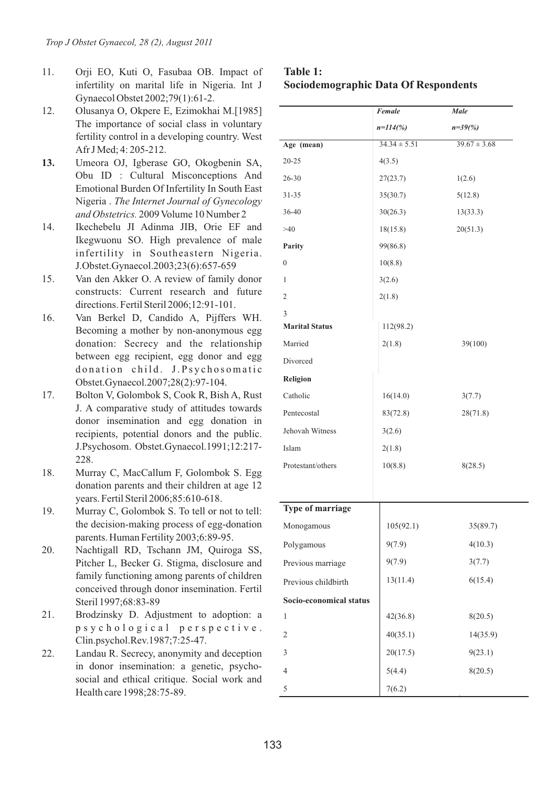- 11. Orji EO, Kuti O, Fasubaa OB. Impact of infertility on marital life in Nigeria. Int J Gynaecol Obstet 2002;79(1):61-2.
- 12. Olusanya O, Okpere E, Ezimokhai M.[1985] The importance of social class in voluntary fertility control in a developing country. West Afr J Med; 4: 205-212.
- **13.** Umeora OJ, Igberase GO, Okogbenin SA, Obu ID : Cultural Misconceptions And Emotional Burden Of Infertility In South East Nigeria . *The Internet Journal of Gynecology and Obstetrics.* 2009 Volume 10 Number 2
- 14. Ikechebelu JI Adinma JIB, Orie EF and Ikegwuonu SO. High prevalence of male infertility in Southeastern Nigeria. J.Obstet.Gynaecol.2003;23(6):657-659
- 15. Van den Akker O. A review of family donor constructs: Current research and future directions. Fertil Steril 2006;12:91-101.
- 16. Van Berkel D, Candido A, Pijffers WH. Becoming a mother by non-anonymous egg donation: Secrecy and the relationship between egg recipient, egg donor and egg donation child. J.Psychosomatic Obstet.Gynaecol.2007;28(2):97-104.
- 17. Bolton V, Golombok S, Cook R, Bish A, Rust J. A comparative study of attitudes towards donor insemination and egg donation in recipients, potential donors and the public. J.Psychosom. Obstet.Gynaecol.1991;12:217- 228.
- 18. Murray C, MacCallum F, Golombok S. Egg donation parents and their children at age 12 years. Fertil Steril 2006;85:610-618.
- 19. Murray C, Golombok S. To tell or not to tell: the decision-making process of egg-donation parents. Human Fertility 2003;6:89-95.
- 20. Nachtigall RD, Tschann JM, Quiroga SS, Pitcher L, Becker G. Stigma, disclosure and family functioning among parents of children conceived through donor insemination. Fertil Steril 1997;68:83-89
- 21. Brodzinsky D. Adjustment to adoption: a p s y c h o l o g i c a l p e r s p e c t i v e . Clin.psychol.Rev.1987;7:25-47.
- 22. Landau R. Secrecy, anonymity and deception in donor insemination: a genetic, psychosocial and ethical critique. Social work and Health care 1998;28:75-89.

### **Table 1: Sociodemographic Data Of Respondents**

|                         | Female           | Male             |
|-------------------------|------------------|------------------|
|                         | $n=114(%)$       | $n=39\,%)$       |
| Age (mean)              | $34.34 \pm 5.51$ | $39.67 \pm 3.68$ |
| $20 - 25$               | 4(3.5)           |                  |
| $26 - 30$               | 27(23.7)         | 1(2.6)           |
| $31 - 35$               | 35(30.7)         | 5(12.8)          |
| 36-40                   | 30(26.3)         | 13(33.3)         |
| >40                     | 18(15.8)         | 20(51.3)         |
| Parity                  | 99(86.8)         |                  |
| $\mathbf{0}$            | 10(8.8)          |                  |
| 1                       | 3(2.6)           |                  |
| 2                       | 2(1.8)           |                  |
| 3                       |                  |                  |
| <b>Marital Status</b>   | 112(98.2)        |                  |
| Married                 | 2(1.8)           | 39(100)          |
| Divorced                |                  |                  |
| <b>Religion</b>         |                  |                  |
| Catholic                | 16(14.0)         | 3(7.7)           |
| Pentecostal             | 83(72.8)         | 28(71.8)         |
| Jehovah Witness         | 3(2.6)           |                  |
| Islam                   | 2(1.8)           |                  |
| Protestant/others       | 10(8.8)          | 8(28.5)          |
|                         |                  |                  |
| Type of marriage        |                  |                  |
| Monogamous              | 105(92.1)        | 35(89.7)         |
| Polygamous              | 9(7.9)           | 4(10.3)          |
| Previous marriage       | 9(7.9)           | 3(7.7)           |
| Previous childbirth     | 13(11.4)         | 6(15.4)          |
| Socio-economical status |                  |                  |
| 1                       | 42(36.8)         | 8(20.5)          |
| $\mathbf{2}$            | 40(35.1)         | 14(35.9)         |
| 3                       | 20(17.5)         | 9(23.1)          |
| $\overline{4}$          | 5(4.4)           | 8(20.5)          |
| 5                       | 7(6.2)           |                  |